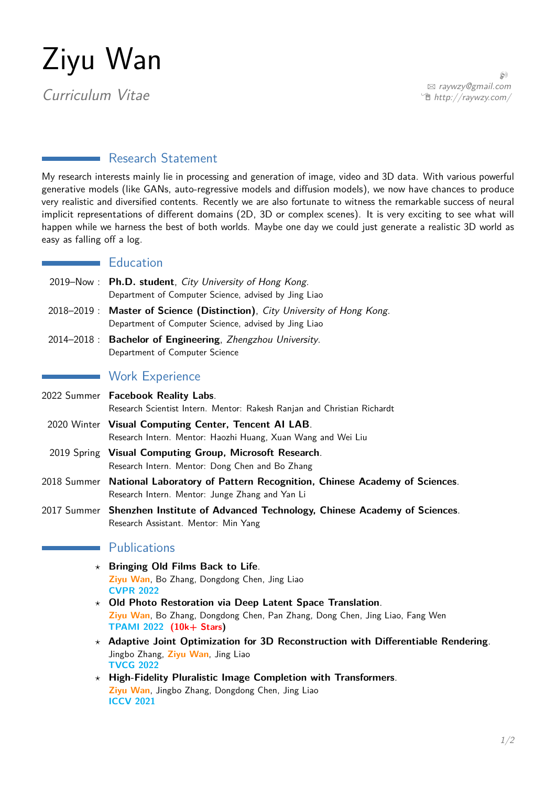# Ziyu Wan

Curriculum Vitae

 $\circledR$ B [raywzy@gmail.com](mailto:raywzy@gmail.com) <sup>•</sup> <http://raywzy.com/>

## Research Statement

My research interests mainly lie in processing and generation of image, video and 3D data. With various powerful generative models (like GANs, auto-regressive models and diffusion models), we now have chances to produce very realistic and diversified contents. Recently we are also fortunate to witness the remarkable success of neural implicit representations of different domains (2D, 3D or complex scenes). It is very exciting to see what will happen while we harness the best of both worlds. Maybe one day we could just generate a realistic 3D world as easy as falling off a log.

## **Education**

- 2019–Now : **Ph.D. student**, City University of Hong Kong. Department of Computer Science, advised by Jing Liao
- 2018–2019 : **Master of Science (Distinction)**, City University of Hong Kong. Department of Computer Science, advised by Jing Liao
- 2014–2018 : **Bachelor of Engineering**, Zhengzhou University. Department of Computer Science

## **Work Experience**

- 2022 Summer **Facebook Reality Labs**. Research Scientist Intern. Mentor: Rakesh Ranjan and Christian Richardt 2020 Winter **Visual Computing Center, Tencent AI LAB**. Research Intern. Mentor: Haozhi Huang, Xuan Wang and Wei Liu
	- 2019 Spring **Visual Computing Group, Microsoft Research**. Research Intern. Mentor: Dong Chen and Bo Zhang
- 2018 Summer **National Laboratory of Pattern Recognition, Chinese Academy of Sciences**. Research Intern. Mentor: Junge Zhang and Yan Li
- 2017 Summer **Shenzhen Institute of Advanced Technology, Chinese Academy of Sciences**. Research Assistant. Mentor: Min Yang

## **Publications**

- *?* **Bringing Old Films Back to Life**. **Ziyu Wan**, Bo Zhang, Dongdong Chen, Jing Liao **CVPR 2022**
- *?* **Old Photo Restoration via Deep Latent Space Translation**. **Ziyu Wan**, Bo Zhang, Dongdong Chen, Pan Zhang, Dong Chen, Jing Liao, Fang Wen **TPAMI 2022 (10k+ Stars)**
- *?* **Adaptive Joint Optimization for 3D Reconstruction with Differentiable Rendering**. Jingbo Zhang, **Ziyu Wan**, Jing Liao **TVCG 2022**
- *?* **High-Fidelity Pluralistic Image Completion with Transformers**. **Ziyu Wan**, Jingbo Zhang, Dongdong Chen, Jing Liao **ICCV 2021**